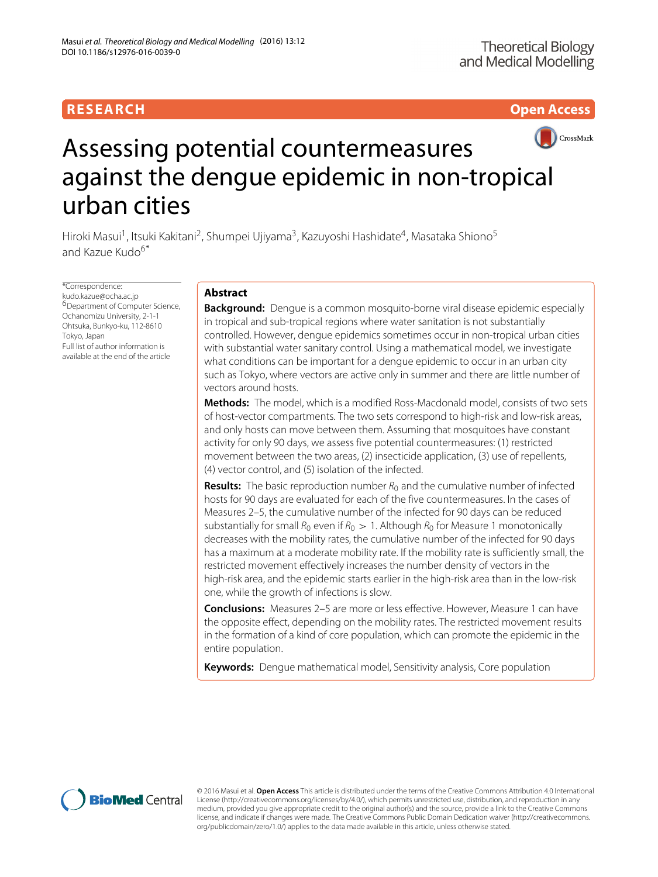# **RESEARCH Open Access**



# Assessing potential countermeasures against the dengue epidemic in non-tropical urban cities

Hiroki Masui<sup>1</sup>, Itsuki Kakitani<sup>2</sup>, Shumpei Ujiyama<sup>3</sup>, Kazuyoshi Hashidate<sup>4</sup>, Masataka Shiono<sup>5</sup> and Kazue Kudo6\*

\*Correspondence: [kudo.kazue@ocha.ac.jp](mailto: kudo.kazue@ocha.ac.jp) 6Department of Computer Science, Ochanomizu University, 2-1-1 Ohtsuka, Bunkyo-ku, 112-8610 Tokyo, Japan Full list of author information is available at the end of the article

# **Abstract**

**Background:** Dengue is a common mosquito-borne viral disease epidemic especially in tropical and sub-tropical regions where water sanitation is not substantially controlled. However, dengue epidemics sometimes occur in non-tropical urban cities with substantial water sanitary control. Using a mathematical model, we investigate what conditions can be important for a dengue epidemic to occur in an urban city such as Tokyo, where vectors are active only in summer and there are little number of vectors around hosts.

**Methods:** The model, which is a modified Ross-Macdonald model, consists of two sets of host-vector compartments. The two sets correspond to high-risk and low-risk areas, and only hosts can move between them. Assuming that mosquitoes have constant activity for only 90 days, we assess five potential countermeasures: (1) restricted movement between the two areas, (2) insecticide application, (3) use of repellents, (4) vector control, and (5) isolation of the infected.

**Results:** The basic reproduction number  $R_0$  and the cumulative number of infected hosts for 90 days are evaluated for each of the five countermeasures. In the cases of Measures 2–5, the cumulative number of the infected for 90 days can be reduced substantially for small  $R_0$  even if  $R_0 > 1$ . Although  $R_0$  for Measure 1 monotonically decreases with the mobility rates, the cumulative number of the infected for 90 days has a maximum at a moderate mobility rate. If the mobility rate is sufficiently small, the restricted movement effectively increases the number density of vectors in the high-risk area, and the epidemic starts earlier in the high-risk area than in the low-risk one, while the growth of infections is slow.

**Conclusions:** Measures 2–5 are more or less effective. However, Measure 1 can have the opposite effect, depending on the mobility rates. The restricted movement results in the formation of a kind of core population, which can promote the epidemic in the entire population.

**Keywords:** Dengue mathematical model, Sensitivity analysis, Core population



© 2016 Masui et al. **Open Access** This article is distributed under the terms of the Creative Commons Attribution 4.0 International License [\(http://creativecommons.org/licenses/by/4.0/\)](http://creativecommons.org/licenses/by/4.0/), which permits unrestricted use, distribution, and reproduction in any medium, provided you give appropriate credit to the original author(s) and the source, provide a link to the Creative Commons license, and indicate if changes were made. The Creative Commons Public Domain Dedication waiver [\(http://creativecommons.](http://creativecommons.org/publicdomain/zero/1.0/) [org/publicdomain/zero/1.0/\)](http://creativecommons.org/publicdomain/zero/1.0/) applies to the data made available in this article, unless otherwise stated.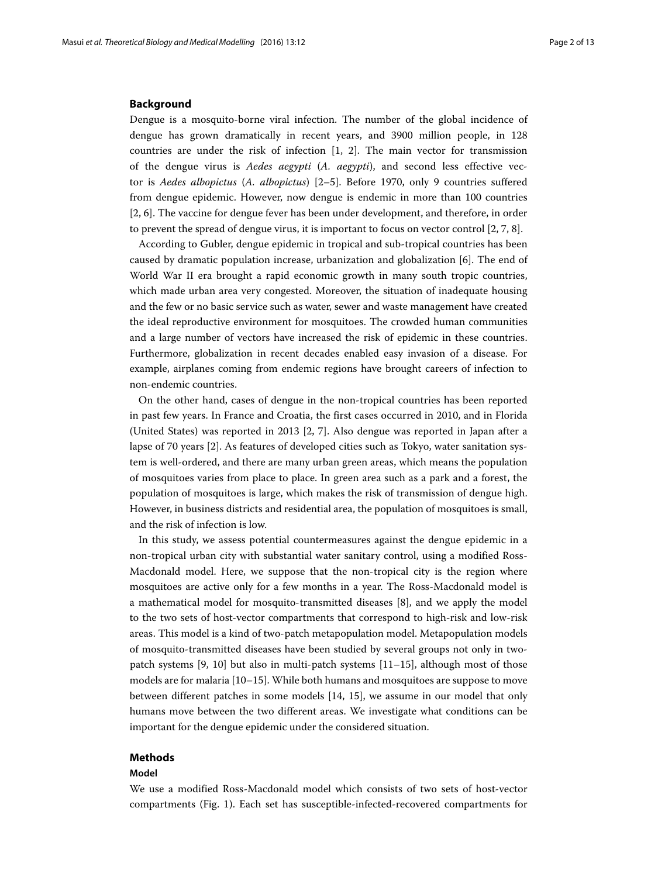#### **Background**

Dengue is a mosquito-borne viral infection. The number of the global incidence of dengue has grown dramatically in recent years, and 3900 million people, in 128 countries are under the risk of infection [\[1,](#page-11-0) [2\]](#page-11-1). The main vector for transmission of the dengue virus is *Aedes aegypti* (*A. aegypti*), and second less effective vector is *Aedes albopictus* (*A. albopictus*) [\[2–](#page-11-1)[5\]](#page-11-2). Before 1970, only 9 countries suffered from dengue epidemic. However, now dengue is endemic in more than 100 countries [\[2,](#page-11-1) [6\]](#page-11-3). The vaccine for dengue fever has been under development, and therefore, in order to prevent the spread of dengue virus, it is important to focus on vector control [\[2,](#page-11-1) [7,](#page-11-4) [8\]](#page-11-5).

According to Gubler, dengue epidemic in tropical and sub-tropical countries has been caused by dramatic population increase, urbanization and globalization [\[6\]](#page-11-3). The end of World War II era brought a rapid economic growth in many south tropic countries, which made urban area very congested. Moreover, the situation of inadequate housing and the few or no basic service such as water, sewer and waste management have created the ideal reproductive environment for mosquitoes. The crowded human communities and a large number of vectors have increased the risk of epidemic in these countries. Furthermore, globalization in recent decades enabled easy invasion of a disease. For example, airplanes coming from endemic regions have brought careers of infection to non-endemic countries.

On the other hand, cases of dengue in the non-tropical countries has been reported in past few years. In France and Croatia, the first cases occurred in 2010, and in Florida (United States) was reported in 2013 [\[2,](#page-11-1) [7\]](#page-11-4). Also dengue was reported in Japan after a lapse of 70 years [\[2\]](#page-11-1). As features of developed cities such as Tokyo, water sanitation system is well-ordered, and there are many urban green areas, which means the population of mosquitoes varies from place to place. In green area such as a park and a forest, the population of mosquitoes is large, which makes the risk of transmission of dengue high. However, in business districts and residential area, the population of mosquitoes is small, and the risk of infection is low.

In this study, we assess potential countermeasures against the dengue epidemic in a non-tropical urban city with substantial water sanitary control, using a modified Ross-Macdonald model. Here, we suppose that the non-tropical city is the region where mosquitoes are active only for a few months in a year. The Ross-Macdonald model is a mathematical model for mosquito-transmitted diseases [\[8\]](#page-11-5), and we apply the model to the two sets of host-vector compartments that correspond to high-risk and low-risk areas. This model is a kind of two-patch metapopulation model. Metapopulation models of mosquito-transmitted diseases have been studied by several groups not only in twopatch systems [\[9,](#page-11-6) [10\]](#page-11-7) but also in multi-patch systems [\[11](#page-11-8)[–15\]](#page-11-9), although most of those models are for malaria [\[10–](#page-11-7)[15\]](#page-11-9). While both humans and mosquitoes are suppose to move between different patches in some models [\[14,](#page-11-10) [15\]](#page-11-9), we assume in our model that only humans move between the two different areas. We investigate what conditions can be important for the dengue epidemic under the considered situation.

# **Methods**

# **Model**

We use a modified Ross-Macdonald model which consists of two sets of host-vector compartments (Fig. [1\)](#page-2-0). Each set has susceptible-infected-recovered compartments for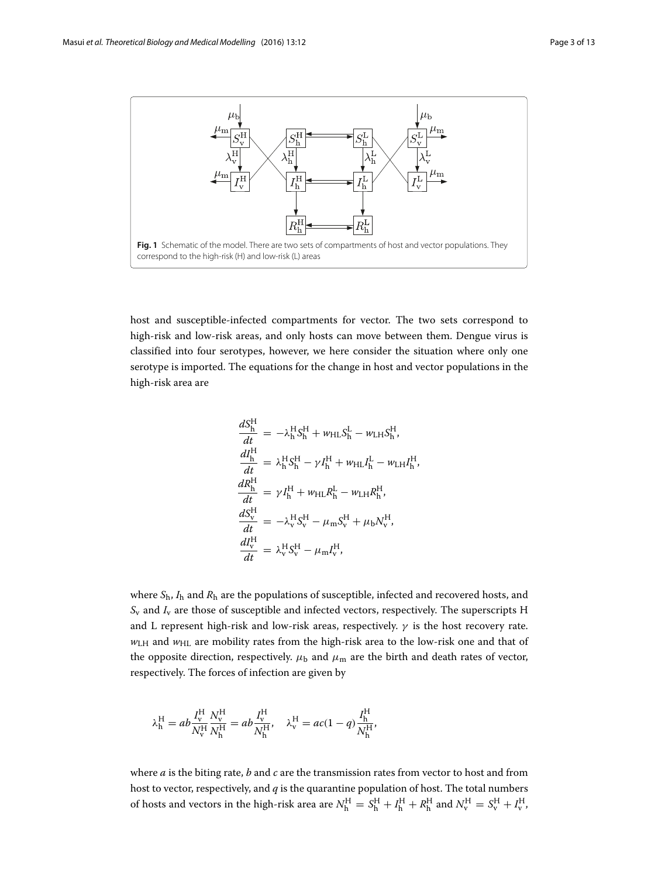

<span id="page-2-0"></span>host and susceptible-infected compartments for vector. The two sets correspond to high-risk and low-risk areas, and only hosts can move between them. Dengue virus is classified into four serotypes, however, we here consider the situation where only one serotype is imported. The equations for the change in host and vector populations in the high-risk area are

$$
\frac{dS_{h}^{H}}{dt} = -\lambda_{h}^{H}S_{h}^{H} + w_{HL}S_{h}^{L} - w_{LH}S_{h}^{H},
$$
\n
$$
\frac{dI_{h}^{H}}{dt} = \lambda_{h}^{H}S_{h}^{H} - \gamma I_{h}^{H} + w_{HL}I_{h}^{L} - w_{LH}I_{h}^{H},
$$
\n
$$
\frac{dR_{h}^{H}}{dt} = \gamma I_{h}^{H} + w_{HL}R_{h}^{L} - w_{LH}R_{h}^{H},
$$
\n
$$
\frac{dS_{v}^{H}}{dt} = -\lambda_{v}^{H}S_{v}^{H} - \mu_{m}S_{v}^{H} + \mu_{b}N_{v}^{H},
$$
\n
$$
\frac{dI_{v}^{H}}{dt} = \lambda_{v}^{H}S_{v}^{H} - \mu_{m}I_{v}^{H},
$$

where *S*h, *I*<sup>h</sup> and *R*<sup>h</sup> are the populations of susceptible, infected and recovered hosts, and  $S_v$  and  $I_v$  are those of susceptible and infected vectors, respectively. The superscripts H and L represent high-risk and low-risk areas, respectively.  $\gamma$  is the host recovery rate. *w*<sub>LH</sub> and *w*<sub>HL</sub> are mobility rates from the high-risk area to the low-risk one and that of the opposite direction, respectively.  $\mu_b$  and  $\mu_m$  are the birth and death rates of vector, respectively. The forces of infection are given by

$$
\lambda_{\rm h}^{\rm H} = ab \frac{I_{\rm v}^{\rm H}}{N_{\rm v}^{\rm H}} \frac{N_{\rm v}^{\rm H}}{N_{\rm h}^{\rm H}} = ab \frac{I_{\rm v}^{\rm H}}{N_{\rm h}^{\rm H}}, \quad \lambda_{\rm v}^{\rm H} = ac(1-q) \frac{I_{\rm h}^{\rm H}}{N_{\rm h}^{\rm H}},
$$

where *a* is the biting rate, *b* and *c* are the transmission rates from vector to host and from host to vector, respectively, and *q* is the quarantine population of host. The total numbers of hosts and vectors in the high-risk area are  $N_h^H = S_h^H + I_h^H + R_h^H$  and  $N_v^H = S_v^H + I_v^H$ ,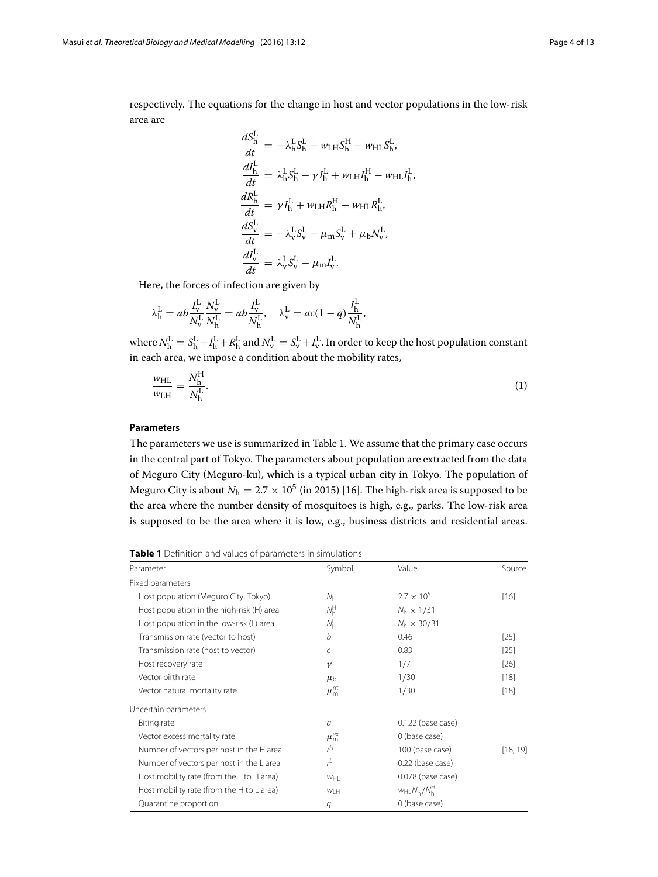respectively. The equations for the change in host and vector populations in the low-risk area are

$$
\frac{dS_h^L}{dt} = -\lambda_h^L S_h^L + w_{LH} S_h^H - w_{HL} S_h^L,
$$
\n
$$
\frac{dI_h^L}{dt} = \lambda_h^L S_h^L - \gamma I_h^L + w_{LH} I_h^H - w_{HL} I_h^L,
$$
\n
$$
\frac{dR_h^L}{dt} = \gamma I_h^L + w_{LH} R_h^H - w_{HL} R_h^L,
$$
\n
$$
\frac{dS_v^L}{dt} = -\lambda_v^L S_v^L - \mu_m S_v^L + \mu_b N_v^L,
$$
\n
$$
\frac{dI_v^L}{dt} = \lambda_v^L S_v^L - \mu_m I_v^L.
$$

Here, the forces of infection are given by

$$
\lambda_{\rm h}^{\rm L} = ab \frac{I_{\rm v}^{\rm L}}{N_{\rm v}^{\rm L}} \frac{N_{\rm v}^{\rm L}}{N_{\rm h}^{\rm L}} = ab \frac{I_{\rm v}^{\rm L}}{N_{\rm h}^{\rm L}}, \quad \lambda_{\rm v}^{\rm L} = ac(1-q) \frac{I_{\rm h}^{\rm L}}{N_{\rm h}^{\rm L}},
$$

where  $N_h^L = S_h^L + I_h^L + R_h^L$  and  $N_v^L = S_v^L + I_v^L$ . In order to keep the host population constant in each area, we impose a condition about the mobility rates,

<span id="page-3-1"></span>
$$
\frac{w_{\rm HL}}{w_{\rm LH}} = \frac{N_{\rm h}^{\rm H}}{N_{\rm h}^{\rm L}}.\tag{1}
$$

# **Parameters**

The parameters we use is summarized in Table [1.](#page-3-0) We assume that the primary case occurs in the central part of Tokyo. The parameters about population are extracted from the data of Meguro City (Meguro-ku), which is a typical urban city in Tokyo. The population of Meguro City is about  $N_h = 2.7 \times 10^5$  (in 2015) [\[16\]](#page-11-11). The high-risk area is supposed to be the area where the number density of mosquitoes is high, e.g., parks. The low-risk area is supposed to be the area where it is low, e.g., business districts and residential areas.

<span id="page-3-0"></span>**Table 1** Definition and values of parameters in simulations

| Parameter                                 | Symbol                 | Value               | Source   |
|-------------------------------------------|------------------------|---------------------|----------|
| Fixed parameters                          |                        |                     |          |
| Host population (Meguro City, Tokyo)      | $N_{h}$                | $2.7 \times 10^{5}$ | [16]     |
| Host population in the high-risk (H) area | $N_{h}^{H}$            | $N_h \times 1/31$   |          |
| Host population in the low-risk (L) area  | $N_{\rm h}^{\rm L}$    | $N_h \times 30/31$  |          |
| Transmission rate (vector to host)        | h                      | 0.46                | $[25]$   |
| Transmission rate (host to vector)        | $\epsilon$             | 0.83                | $[25]$   |
| Host recovery rate                        | $\gamma$               | 1/7                 | $[26]$   |
| Vector birth rate                         | $\mu_{h}$              | 1/30                | $[18]$   |
| Vector natural mortality rate             | $\mu_{\rm m}^{\rm nt}$ | 1/30                | $[18]$   |
| Uncertain parameters                      |                        |                     |          |
| Biting rate                               | a                      | $0.122$ (base case) |          |
| Vector excess mortality rate              | $\mu_{\rm m}^{\rm ex}$ | 0 (base case)       |          |
| Number of vectors per host in the H area  | $r^H$                  | 100 (base case)     | [18, 19] |
| Number of vectors per host in the L area  | $r^{L}$                | 0.22 (base case)    |          |
| Host mobility rate (from the L to H area) | $W_{\text{H}}$         | 0.078 (base case)   |          |
| Host mobility rate (from the H to L area) | W <sub>CH</sub>        | $W_{HL}N_h^L/N_h^H$ |          |
| Quarantine proportion                     | q                      | 0 (base case)       |          |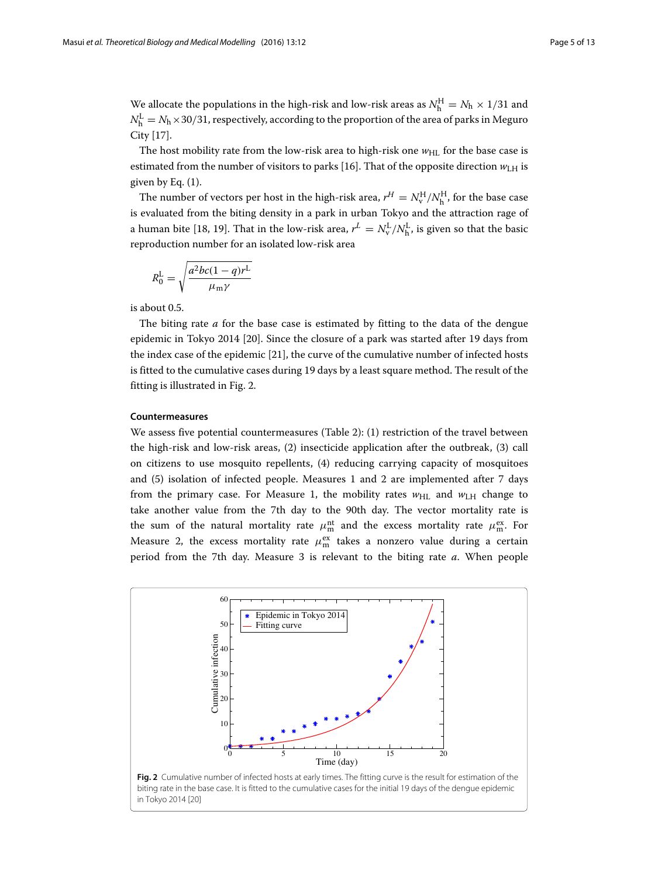We allocate the populations in the high-risk and low-risk areas as  $N_{\rm h}^{\rm H} = N_{\rm h} \times 1/31$  and  $N_{\rm h}^{\rm L} = N_{\rm h} \times$ 30/31, respectively, according to the proportion of the area of parks in Meguro City [\[17\]](#page-11-14).

The host mobility rate from the low-risk area to high-risk one  $w_{HL}$  for the base case is estimated from the number of visitors to parks [\[16\]](#page-11-11). That of the opposite direction  $w_{\text{LH}}$  is given by Eq. [\(1\)](#page-3-1).

The number of vectors per host in the high-risk area,  $r^H = N_v^H/N_h^H$ , for the base case is evaluated from the biting density in a park in urban Tokyo and the attraction rage of a human bite [\[18,](#page-11-12) [19\]](#page-11-13). That in the low-risk area,  $r^L = N_{\rm v}^{\rm L}/N_{\rm h}^{\rm L}$ , is given so that the basic reproduction number for an isolated low-risk area

$$
R_0^{\rm L} = \sqrt{\frac{a^2bc(1-q)r^{\rm L}}{\mu_{\rm m}\gamma}}
$$

is about 0.5.

The biting rate *a* for the base case is estimated by fitting to the data of the dengue epidemic in Tokyo 2014 [\[20\]](#page-11-15). Since the closure of a park was started after 19 days from the index case of the epidemic [\[21\]](#page-11-16), the curve of the cumulative number of infected hosts is fitted to the cumulative cases during 19 days by a least square method. The result of the fitting is illustrated in Fig. [2.](#page-4-0)

# **Countermeasures**

We assess five potential countermeasures (Table [2\)](#page-5-0): (1) restriction of the travel between the high-risk and low-risk areas, (2) insecticide application after the outbreak, (3) call on citizens to use mosquito repellents, (4) reducing carrying capacity of mosquitoes and (5) isolation of infected people. Measures 1 and 2 are implemented after 7 days from the primary case. For Measure 1, the mobility rates  $w_{HL}$  and  $w_{LH}$  change to take another value from the 7th day to the 90th day. The vector mortality rate is the sum of the natural mortality rate  $\mu_m^{\text{nt}}$  and the excess mortality rate  $\mu_m^{\text{ex}}$ . For Measure 2, the excess mortality rate  $\mu_{\rm m}^{\rm ex}$  takes a nonzero value during a certain period from the 7th day. Measure 3 is relevant to the biting rate *a*. When people

<span id="page-4-0"></span>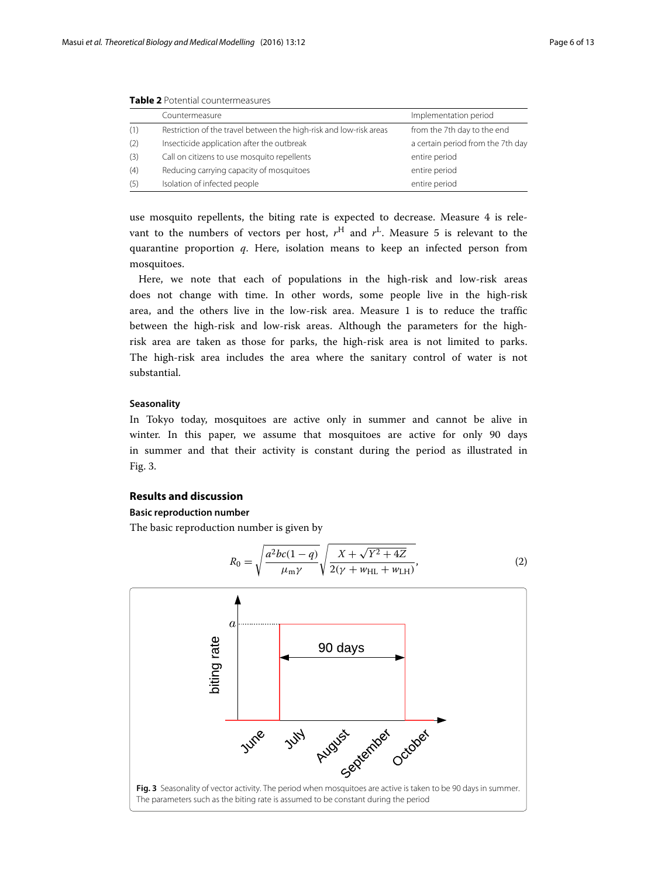|     | Countermeasure                                                     | Implementation period             |
|-----|--------------------------------------------------------------------|-----------------------------------|
| (1) | Restriction of the travel between the high-risk and low-risk areas | from the 7th day to the end       |
| (2) | Insecticide application after the outbreak                         | a certain period from the 7th day |
| (3) | Call on citizens to use mosquito repellents                        | entire period                     |
| (4) | Reducing carrying capacity of mosquitoes                           | entire period                     |
| (5) | Isolation of infected people                                       | entire period                     |

<span id="page-5-0"></span>**Table 2** Potential countermeasures

use mosquito repellents, the biting rate is expected to decrease. Measure 4 is relevant to the numbers of vectors per host,  $r^H$  and  $r^L$ . Measure 5 is relevant to the quarantine proportion *q*. Here, isolation means to keep an infected person from mosquitoes.

Here, we note that each of populations in the high-risk and low-risk areas does not change with time. In other words, some people live in the high-risk area, and the others live in the low-risk area. Measure 1 is to reduce the traffic between the high-risk and low-risk areas. Although the parameters for the highrisk area are taken as those for parks, the high-risk area is not limited to parks. The high-risk area includes the area where the sanitary control of water is not substantial.

# **Seasonality**

In Tokyo today, mosquitoes are active only in summer and cannot be alive in winter. In this paper, we assume that mosquitoes are active for only 90 days in summer and that their activity is constant during the period as illustrated in Fig. [3.](#page-5-1)

# **Results and discussion**

# **Basic reproduction number**

The basic reproduction number is given by

<span id="page-5-2"></span>
$$
R_0 = \sqrt{\frac{a^2bc(1-q)}{\mu_m\gamma}} \sqrt{\frac{X + \sqrt{Y^2 + 4Z}}{2(\gamma + w_{\text{HL}} + w_{\text{LH}})}},
$$
(2)

<span id="page-5-1"></span>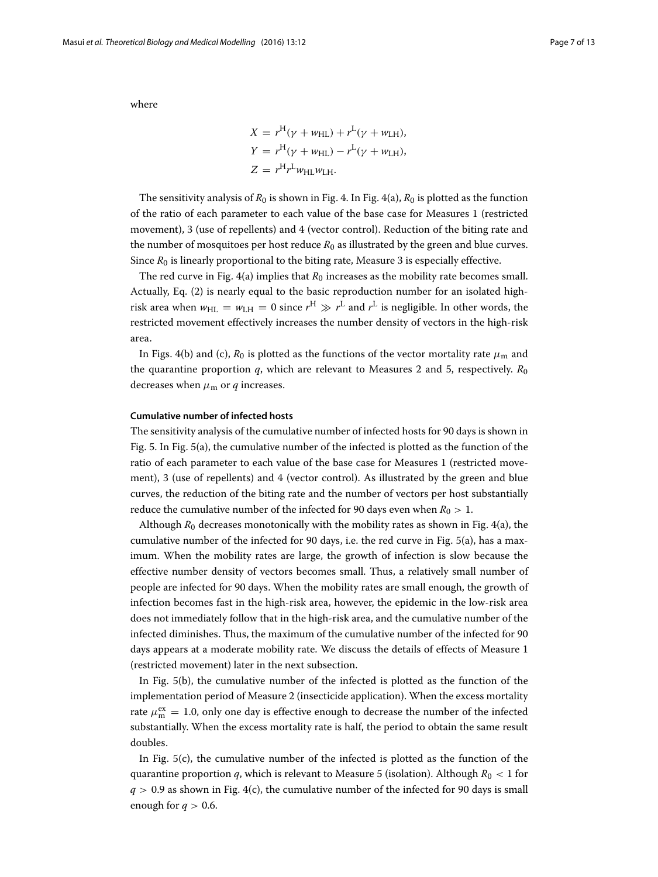where

$$
X = r^{H}(\gamma + w_{HL}) + r^{L}(\gamma + w_{LH}),
$$
  
\n
$$
Y = r^{H}(\gamma + w_{HL}) - r^{L}(\gamma + w_{LH}),
$$
  
\n
$$
Z = r^{H}r^{L}w_{HL}w_{LH}.
$$

The sensitivity analysis of  $R_0$  is shown in Fig. [4.](#page-7-0) In Fig. [4](#page-7-0)[\(a\)](#page-7-1),  $R_0$  is plotted as the function of the ratio of each parameter to each value of the base case for Measures 1 (restricted movement), 3 (use of repellents) and 4 (vector control). Reduction of the biting rate and the number of mosquitoes per host reduce  $R_0$  as illustrated by the green and blue curves. Since  $R_0$  is linearly proportional to the biting rate, Measure 3 is especially effective.

The red curve in Fig.  $4(a)$  $4(a)$  implies that  $R_0$  increases as the mobility rate becomes small. Actually, Eq. [\(2\)](#page-5-2) is nearly equal to the basic reproduction number for an isolated highrisk area when  $w_{\text{HL}} = w_{\text{LH}} = 0$  since  $r^{\text{H}} \gg r^{\text{L}}$  and  $r^{\text{L}}$  is negligible. In other words, the restricted movement effectively increases the number density of vectors in the high-risk area.

In Figs. [4\(](#page-7-0)[b\)](#page-7-1) and [\(c\)](#page-7-1),  $R_0$  is plotted as the functions of the vector mortality rate  $\mu_{\rm m}$  and the quarantine proportion  $q$ , which are relevant to Measures 2 and 5, respectively.  $R_0$ decreases when  $\mu_{\rm m}$  or  $q$  increases.

# **Cumulative number of infected hosts**

The sensitivity analysis of the cumulative number of infected hosts for 90 days is shown in Fig. [5.](#page-8-0) In Fig. [5\(](#page-8-0)[a\)](#page-8-1), the cumulative number of the infected is plotted as the function of the ratio of each parameter to each value of the base case for Measures 1 (restricted movement), 3 (use of repellents) and 4 (vector control). As illustrated by the green and blue curves, the reduction of the biting rate and the number of vectors per host substantially reduce the cumulative number of the infected for 90 days even when  $R_0 > 1$ .

Although  $R_0$  decreases monotonically with the mobility rates as shown in Fig. [4](#page-7-0)[\(a\)](#page-7-1), the cumulative number of the infected for 90 days, i.e. the red curve in Fig. [5\(](#page-8-0)[a\)](#page-8-1), has a maximum. When the mobility rates are large, the growth of infection is slow because the effective number density of vectors becomes small. Thus, a relatively small number of people are infected for 90 days. When the mobility rates are small enough, the growth of infection becomes fast in the high-risk area, however, the epidemic in the low-risk area does not immediately follow that in the high-risk area, and the cumulative number of the infected diminishes. Thus, the maximum of the cumulative number of the infected for 90 days appears at a moderate mobility rate. We discuss the details of effects of Measure 1 (restricted movement) later in the next subsection.

In Fig. [5\(](#page-8-0)[b\)](#page-8-1), the cumulative number of the infected is plotted as the function of the implementation period of Measure 2 (insecticide application). When the excess mortality rate  $\mu_{\rm m}^{\rm ex} = 1.0$ , only one day is effective enough to decrease the number of the infected substantially. When the excess mortality rate is half, the period to obtain the same result doubles.

In Fig. [5\(](#page-8-0)[c\)](#page-8-1), the cumulative number of the infected is plotted as the function of the quarantine proportion *q*, which is relevant to Measure 5 (isolation). Although *R*<sup>0</sup> < 1 for  $q > 0.9$  as shown in Fig. [4\(](#page-7-0)[c\)](#page-7-1), the cumulative number of the infected for 90 days is small enough for  $q > 0.6$ .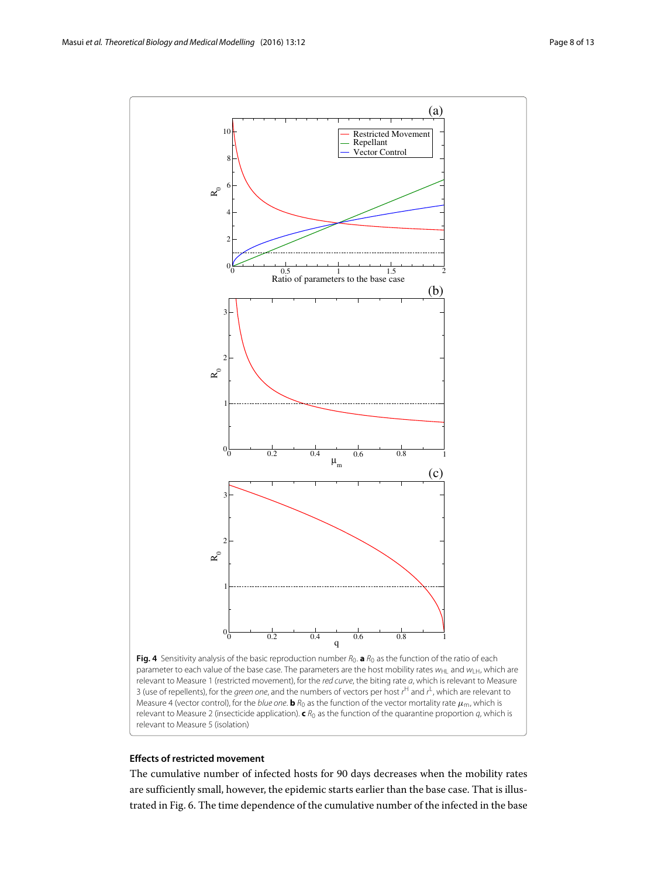

<span id="page-7-0"></span>Fig. 4 Sensitivity analysis of the basic reproduction number  $R_0$ . **a**  $R_0$  as the function of the ratio of each parameter to each value of the base case. The parameters are the host mobility rates  $w_{\text{HI}}$  and  $w_{\text{H}}$ , which are relevant to Measure 1 (restricted movement), for the red curve, the biting rate a, which is relevant to Measure 3 (use of repellents), for the *green one*, and the numbers of vectors per host r<sup>H</sup> and r<sup>L</sup>, which are relevant to Measure 4 (vector control), for the *blue one*. **b**  $R_0$  as the function of the vector mortality rate  $\mu_m$ , which is relevant to Measure 2 (insecticide application). **c** R<sup>0</sup> as the function of the quarantine proportion q, which is relevant to Measure 5 (isolation)

# <span id="page-7-1"></span>**Effects of restricted movement**

The cumulative number of infected hosts for 90 days decreases when the mobility rates are sufficiently small, however, the epidemic starts earlier than the base case. That is illustrated in Fig. [6.](#page-9-0) The time dependence of the cumulative number of the infected in the base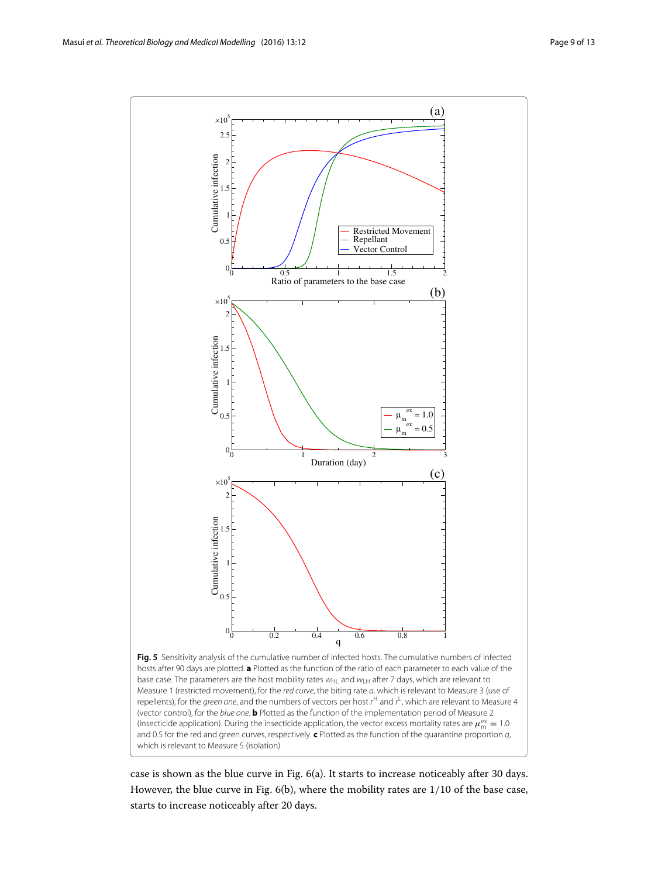

<span id="page-8-1"></span><span id="page-8-0"></span>case is shown as the blue curve in Fig. [6\(](#page-9-0)[a\)](#page-9-1). It starts to increase noticeably after 30 days. However, the blue curve in Fig. [6](#page-9-0)[\(b\)](#page-9-1), where the mobility rates are 1/10 of the base case, starts to increase noticeably after 20 days.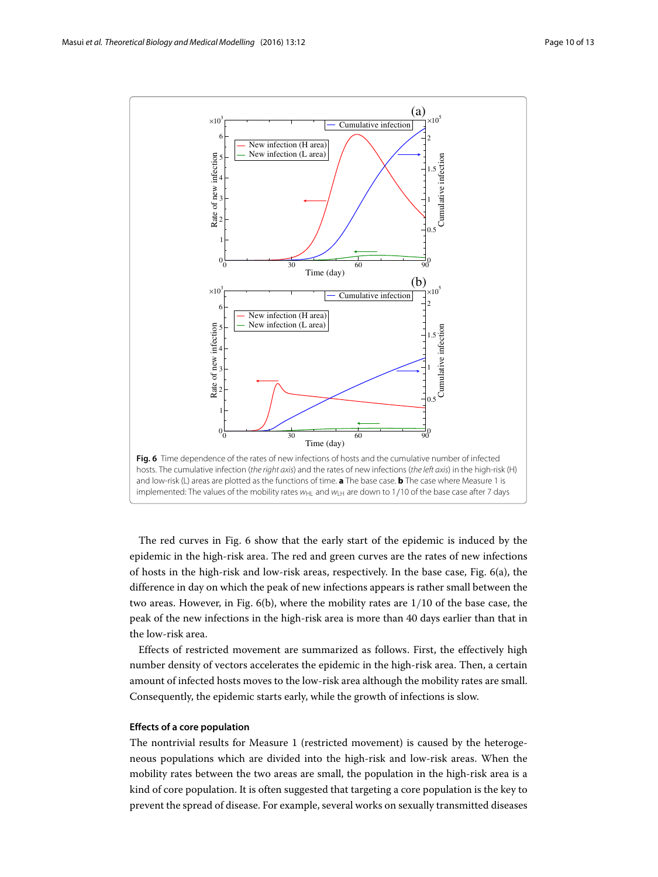

<span id="page-9-1"></span><span id="page-9-0"></span>The red curves in Fig. [6](#page-9-0) show that the early start of the epidemic is induced by the epidemic in the high-risk area. The red and green curves are the rates of new infections of hosts in the high-risk and low-risk areas, respectively. In the base case, Fig. [6](#page-9-0)[\(a\)](#page-9-1), the difference in day on which the peak of new infections appears is rather small between the two areas. However, in Fig. [6\(](#page-9-0)[b\)](#page-9-1), where the mobility rates are 1/10 of the base case, the peak of the new infections in the high-risk area is more than 40 days earlier than that in the low-risk area.

Effects of restricted movement are summarized as follows. First, the effectively high number density of vectors accelerates the epidemic in the high-risk area. Then, a certain amount of infected hosts moves to the low-risk area although the mobility rates are small. Consequently, the epidemic starts early, while the growth of infections is slow.

# **Effects of a core population**

The nontrivial results for Measure 1 (restricted movement) is caused by the heterogeneous populations which are divided into the high-risk and low-risk areas. When the mobility rates between the two areas are small, the population in the high-risk area is a kind of core population. It is often suggested that targeting a core population is the key to prevent the spread of disease. For example, several works on sexually transmitted diseases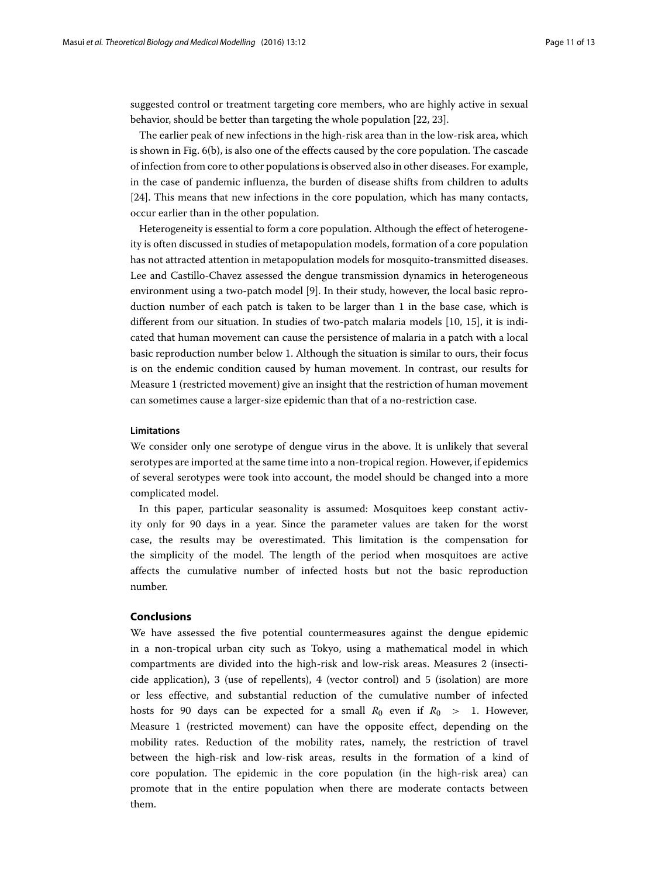suggested control or treatment targeting core members, who are highly active in sexual behavior, should be better than targeting the whole population [\[22,](#page-11-17) [23\]](#page-12-2).

The earlier peak of new infections in the high-risk area than in the low-risk area, which is shown in Fig. [6\(](#page-9-0)[b\)](#page-9-1), is also one of the effects caused by the core population. The cascade of infection from core to other populations is observed also in other diseases. For example, in the case of pandemic influenza, the burden of disease shifts from children to adults [\[24\]](#page-12-3). This means that new infections in the core population, which has many contacts, occur earlier than in the other population.

Heterogeneity is essential to form a core population. Although the effect of heterogeneity is often discussed in studies of metapopulation models, formation of a core population has not attracted attention in metapopulation models for mosquito-transmitted diseases. Lee and Castillo-Chavez assessed the dengue transmission dynamics in heterogeneous environment using a two-patch model [\[9\]](#page-11-6). In their study, however, the local basic reproduction number of each patch is taken to be larger than 1 in the base case, which is different from our situation. In studies of two-patch malaria models [\[10,](#page-11-7) [15\]](#page-11-9), it is indicated that human movement can cause the persistence of malaria in a patch with a local basic reproduction number below 1. Although the situation is similar to ours, their focus is on the endemic condition caused by human movement. In contrast, our results for Measure 1 (restricted movement) give an insight that the restriction of human movement can sometimes cause a larger-size epidemic than that of a no-restriction case.

# **Limitations**

We consider only one serotype of dengue virus in the above. It is unlikely that several serotypes are imported at the same time into a non-tropical region. However, if epidemics of several serotypes were took into account, the model should be changed into a more complicated model.

In this paper, particular seasonality is assumed: Mosquitoes keep constant activity only for 90 days in a year. Since the parameter values are taken for the worst case, the results may be overestimated. This limitation is the compensation for the simplicity of the model. The length of the period when mosquitoes are active affects the cumulative number of infected hosts but not the basic reproduction number.

# **Conclusions**

We have assessed the five potential countermeasures against the dengue epidemic in a non-tropical urban city such as Tokyo, using a mathematical model in which compartments are divided into the high-risk and low-risk areas. Measures 2 (insecticide application), 3 (use of repellents), 4 (vector control) and 5 (isolation) are more or less effective, and substantial reduction of the cumulative number of infected hosts for 90 days can be expected for a small  $R_0$  even if  $R_0 > 1$ . However, Measure 1 (restricted movement) can have the opposite effect, depending on the mobility rates. Reduction of the mobility rates, namely, the restriction of travel between the high-risk and low-risk areas, results in the formation of a kind of core population. The epidemic in the core population (in the high-risk area) can promote that in the entire population when there are moderate contacts between them.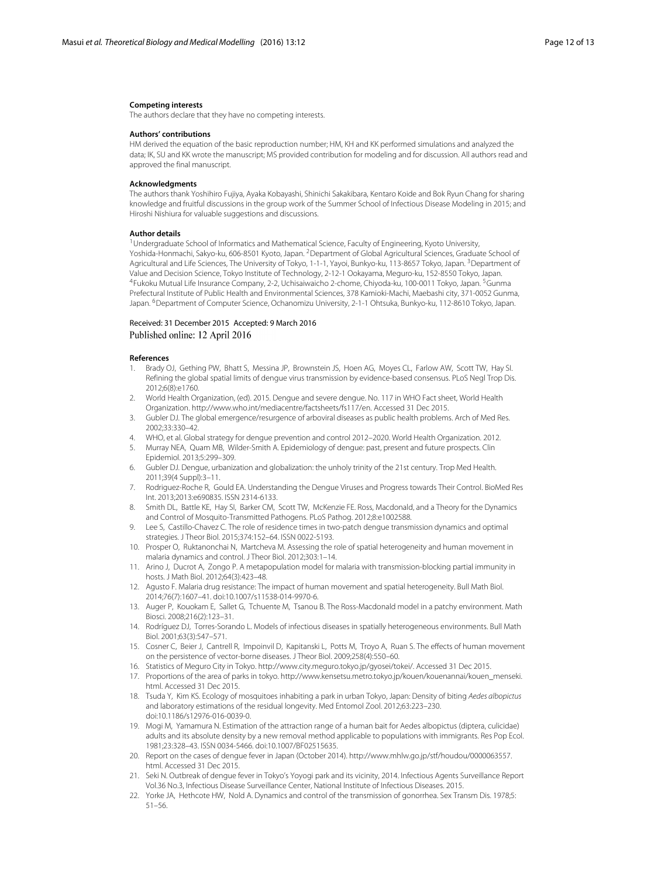#### **Competing interests**

The authors declare that they have no competing interests.

#### **Authors' contributions**

HM derived the equation of the basic reproduction number; HM, KH and KK performed simulations and analyzed the data; IK, SU and KK wrote the manuscript; MS provided contribution for modeling and for discussion. All authors read and approved the final manuscript.

#### **Acknowledgments**

The authors thank Yoshihiro Fujiya, Ayaka Kobayashi, Shinichi Sakakibara, Kentaro Koide and Bok Ryun Chang for sharing knowledge and fruitful discussions in the group work of the Summer School of Infectious Disease Modeling in 2015; and Hiroshi Nishiura for valuable suggestions and discussions.

#### **Author details**

<sup>1</sup> Undergraduate School of Informatics and Mathematical Science, Faculty of Engineering, Kyoto University, Yoshida-Honmachi, Sakyo-ku, 606-8501 Kyoto, Japan. <sup>2</sup> Department of Global Agricultural Sciences, Graduate School of Agricultural and Life Sciences, The University of Tokyo, 1-1-1, Yayoi, Bunkyo-ku, 113-8657 Tokyo, Japan. <sup>3</sup>Department of Value and Decision Science, Tokyo Institute of Technology, 2-12-1 Ookayama, Meguro-ku, 152-8550 Tokyo, Japan. 4Fukoku Mutual Life Insurance Company, 2-2, Uchisaiwaicho 2-chome, Chiyoda-ku, 100-0011 Tokyo, Japan. 5Gunma Prefectural Institute of Public Health and Environmental Sciences, 378 Kamioki-Machi, Maebashi city, 371-0052 Gunma, Japan. <sup>6</sup>Department of Computer Science, Ochanomizu University, 2-1-1 Ohtsuka, Bunkyo-ku, 112-8610 Tokyo, Japan.

# Received: 31 December 2015 Accepted: 9 March 2016 Published online: 12 April 2016

#### **References**

- <span id="page-11-0"></span>1. Brady OJ, Gething PW, Bhatt S, Messina JP, Brownstein JS, Hoen AG, Moyes CL, Farlow AW, Scott TW, Hay SI. Refining the global spatial limits of dengue virus transmission by evidence-based consensus. PLoS Negl Trop Dis. 2012;6(8):e1760.
- <span id="page-11-1"></span>2. World Health Organization, (ed). 2015. Dengue and severe dengue. No. 117 in WHO Fact sheet, World Health Organization. [http://www.who.int/mediacentre/factsheets/fs117/en.](http://www.who.int/mediacentre/factsheets/fs117/en) Accessed 31 Dec 2015.
- Gubler DJ. The global emergence/resurgence of arboviral diseases as public health problems. Arch of Med Res. 2002;33:330–42.
- 4. WHO, et al. Global strategy for dengue prevention and control 2012–2020. World Health Organization. 2012.
- <span id="page-11-2"></span>5. Murray NEA, Quam MB, Wilder-Smith A. Epidemiology of dengue: past, present and future prospects. Clin Epidemiol. 2013;5:299–309.
- <span id="page-11-3"></span>6. Gubler DJ. Dengue, urbanization and globalization: the unholy trinity of the 21st century. Trop Med Health. 2011;39(4 Suppl):3–11.
- <span id="page-11-4"></span>7. Rodriguez-Roche R, Gould EA. Understanding the Dengue Viruses and Progress towards Their Control. BioMed Res Int. 2013;2013:e690835. ISSN 2314-6133.
- <span id="page-11-5"></span>8. Smith DL, Battle KE, Hay SI, Barker CM, Scott TW, McKenzie FE. Ross, Macdonald, and a Theory for the Dynamics and Control of Mosquito-Transmitted Pathogens. PLoS Pathog. 2012;8:e1002588.
- <span id="page-11-6"></span>9. Lee S, Castillo-Chavez C. The role of residence times in two-patch dengue transmission dynamics and optimal strategies. J Theor Biol. 2015;374:152–64. ISSN 0022-5193.
- <span id="page-11-7"></span>10. Prosper O, Ruktanonchai N, Martcheva M. Assessing the role of spatial heterogeneity and human movement in malaria dynamics and control. J Theor Biol. 2012;303:1–14.
- <span id="page-11-8"></span>11. Arino J, Ducrot A, Zongo P. A metapopulation model for malaria with transmission-blocking partial immunity in hosts. J Math Biol. 2012;64(3):423–48.
- 12. Agusto F. Malaria drug resistance: The impact of human movement and spatial heterogeneity. Bull Math Biol. 2014;76(7):1607–41. doi[:10.1007/s11538-014-9970-6.](http://dx.doi.org/10.1007/s11538-014-9970-6)
- 13. Auger P, Kouokam E, Sallet G, Tchuente M, Tsanou B. The Ross-Macdonald model in a patchy environment. Math Biosci. 2008;216(2):123–31.
- <span id="page-11-10"></span>14. Rodríguez DJ, Torres-Sorando L. Models of infectious diseases in spatially heterogeneous environments. Bull Math Biol. 2001;63(3):547–571.
- <span id="page-11-9"></span>15. Cosner C, Beier J, Cantrell R, Impoinvil D, Kapitanski L, Potts M, Troyo A, Ruan S. The effects of human movement on the persistence of vector-borne diseases. J Theor Biol. 2009;258(4):550–60.
- <span id="page-11-11"></span>16. Statistics of Meguro City in Tokyo. [http://www.city.meguro.tokyo.jp/gyosei/tokei/.](http://www.city.meguro.tokyo.jp/gyosei/tokei/) Accessed 31 Dec 2015.
- <span id="page-11-14"></span>17. Proportions of the area of parks in tokyo. [http://www.kensetsu.metro.tokyo.jp/kouen/kouenannai/kouen\\_menseki.](http://www.kensetsu.metro.tokyo.jp/kouen/kouenannai/kouen_menseki.html) [html.](http://www.kensetsu.metro.tokyo.jp/kouen/kouenannai/kouen_menseki.html) Accessed 31 Dec 2015.
- <span id="page-11-12"></span>18. Tsuda Y, Kim KS. Ecology of mosquitoes inhabiting a park in urban Tokyo, Japan: Density of biting Aedes albopictus and laboratory estimations of the residual longevity. Med Entomol Zool. 2012;63:223–230. doi[:10.1186/s12976-016-0039-0.](http://dx.doi.org/10.1186/s12976-016-0039-0)
- <span id="page-11-13"></span>19. Mogi M, Yamamura N. Estimation of the attraction range of a human bait for Aedes albopictus (diptera, culicidae) adults and its absolute density by a new removal method applicable to populations with immigrants. Res Pop Ecol. 1981;23:328–43. ISSN 0034-5466. doi:10.1007/BF02515635.
- <span id="page-11-15"></span>20. Report on the cases of dengue fever in Japan (October 2014). [http://www.mhlw.go.jp/stf/houdou/0000063557.](http://www.mhlw.go.jp/stf/houdou/0000063557.html) [html.](http://www.mhlw.go.jp/stf/houdou/0000063557.html) Accessed 31 Dec 2015.
- <span id="page-11-16"></span>21. Seki N. Outbreak of dengue fever in Tokyo's Yoyogi park and its vicinity, 2014. Infectious Agents Surveillance Report Vol.36 No.3, Infectious Disease Surveillance Center, National Institute of Infectious Diseases. 2015.
- <span id="page-11-17"></span>22. Yorke JA, Hethcote HW, Nold A. Dynamics and control of the transmission of gonorrhea. Sex Transm Dis. 1978;5: 51–56.